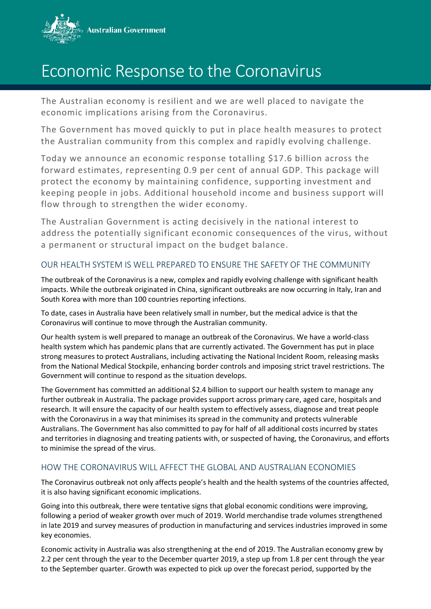

## Economic Response to the Coronavirus

The Australian economy is resilient and we are well placed to navigate the economic implications arising from the Coronavirus.

The Government has moved quickly to put in place health measures to protect the Australian community from this complex and rapidly evolving challenge.

Today we announce an economic response totalling \$17.6 billion across the forward estimates, representing 0.9 per cent of annual GDP. This package will protect the economy by maintaining confidence, supporting investment and keeping people in jobs. Additional household income and business support will flow through to strengthen the wider economy.

The Australian Government is acting decisively in the national interest to address the potentially significant economic consequences of the virus, without a permanent or structural impact on the budget balance.

## OUR HEALTH SYSTEM IS WELL PREPARED TO ENSURE THE SAFETY OF THE COMMUNITY

The outbreak of the Coronavirus is a new, complex and rapidly evolving challenge with significant health impacts. While the outbreak originated in China, significant outbreaks are now occurring in Italy, Iran and South Korea with more than 100 countries reporting infections.

To date, cases in Australia have been relatively small in number, but the medical advice is that the Coronavirus will continue to move through the Australian community.

Our health system is well prepared to manage an outbreak of the Coronavirus. We have a world-class health system which has pandemic plans that are currently activated. The Government has put in place strong measures to protect Australians, including activating the National Incident Room, releasing masks from the National Medical Stockpile, enhancing border controls and imposing strict travel restrictions. The Government will continue to respond as the situation develops.

The Government has committed an additional \$2.4 billion to support our health system to manage any further outbreak in Australia. The package provides support across primary care, aged care, hospitals and research. It will ensure the capacity of our health system to effectively assess, diagnose and treat people with the Coronavirus in a way that minimises its spread in the community and protects vulnerable Australians. The Government has also committed to pay for half of all additional costs incurred by states and territories in diagnosing and treating patients with, or suspected of having, the Coronavirus, and efforts to minimise the spread of the virus.

## HOW THE CORONAVIRUS WILL AFFECT THE GLOBAL AND AUSTRALIAN ECONOMIES

The Coronavirus outbreak not only affects people's health and the health systems of the countries affected, it is also having significant economic implications.

Going into this outbreak, there were tentative signs that global economic conditions were improving, following a period of weaker growth over much of 2019. World merchandise trade volumes strengthened in late 2019 and survey measures of production in manufacturing and services industries improved in some key economies.

Economic activity in Australia was also strengthening at the end of 2019. The Australian economy grew by 2.2 per cent through the year to the December quarter 2019, a step up from 1.8 per cent through the year to the September quarter. Growth was expected to pick up over the forecast period, supported by the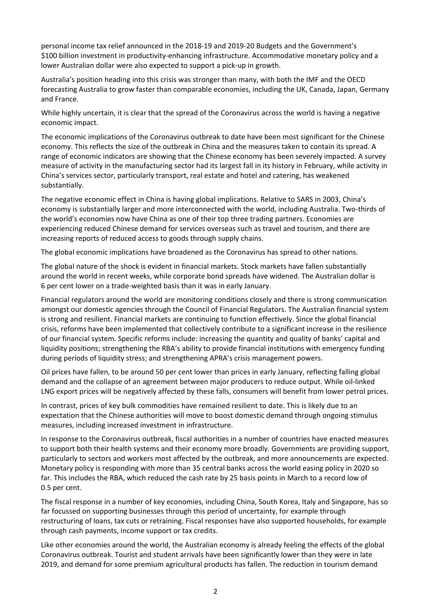personal income tax relief announced in the 2018-19 and 2019-20 Budgets and the Government's \$100 billion investment in productivity-enhancing infrastructure. Accommodative monetary policy and a lower Australian dollar were also expected to support a pick-up in growth.

Australia's position heading into this crisis was stronger than many, with both the IMF and the OECD forecasting Australia to grow faster than comparable economies, including the UK, Canada, Japan, Germany and France.

While highly uncertain, it is clear that the spread of the Coronavirus across the world is having a negative economic impact.

The economic implications of the Coronavirus outbreak to date have been most significant for the Chinese economy. This reflects the size of the outbreak in China and the measures taken to contain its spread. A range of economic indicators are showing that the Chinese economy has been severely impacted. A survey measure of activity in the manufacturing sector had its largest fall in its history in February, while activity in China's services sector, particularly transport, real estate and hotel and catering, has weakened substantially.

The negative economic effect in China is having global implications. Relative to SARS in 2003, China's economy is substantially larger and more interconnected with the world, including Australia. Two-thirds of the world's economies now have China as one of their top three trading partners. Economies are experiencing reduced Chinese demand for services overseas such as travel and tourism, and there are increasing reports of reduced access to goods through supply chains.

The global economic implications have broadened as the Coronavirus has spread to other nations.

The global nature of the shock is evident in financial markets. Stock markets have fallen substantially around the world in recent weeks, while corporate bond spreads have widened. The Australian dollar is 6 per cent lower on a trade-weighted basis than it was in early January.

Financial regulators around the world are monitoring conditions closely and there is strong communication amongst our domestic agencies through the Council of Financial Regulators. The Australian financial system is strong and resilient. Financial markets are continuing to function effectively. Since the global financial crisis, reforms have been implemented that collectively contribute to a significant increase in the resilience of our financial system. Specific reforms include: increasing the quantity and quality of banks' capital and liquidity positions; strengthening the RBA's ability to provide financial institutions with emergency funding during periods of liquidity stress; and strengthening APRA's crisis management powers.

Oil prices have fallen, to be around 50 per cent lower than prices in early January, reflecting falling global demand and the collapse of an agreement between major producers to reduce output. While oil-linked LNG export prices will be negatively affected by these falls, consumers will benefit from lower petrol prices.

In contrast, prices of key bulk commodities have remained resilient to date. This is likely due to an expectation that the Chinese authorities will move to boost domestic demand through ongoing stimulus measures, including increased investment in infrastructure.

In response to the Coronavirus outbreak, fiscal authorities in a number of countries have enacted measures to support both their health systems and their economy more broadly. Governments are providing support, particularly to sectors and workers most affected by the outbreak, and more announcements are expected. Monetary policy is responding with more than 35 central banks across the world easing policy in 2020 so far. This includes the RBA, which reduced the cash rate by 25 basis points in March to a record low of 0.5 per cent.

The fiscal response in a number of key economies, including China, South Korea, Italy and Singapore, has so far focussed on supporting businesses through this period of uncertainty, for example through restructuring of loans, tax cuts or retraining. Fiscal responses have also supported households, for example through cash payments, income support or tax credits.

Like other economies around the world, the Australian economy is already feeling the effects of the global Coronavirus outbreak. Tourist and student arrivals have been significantly lower than they were in late 2019, and demand for some premium agricultural products has fallen. The reduction in tourism demand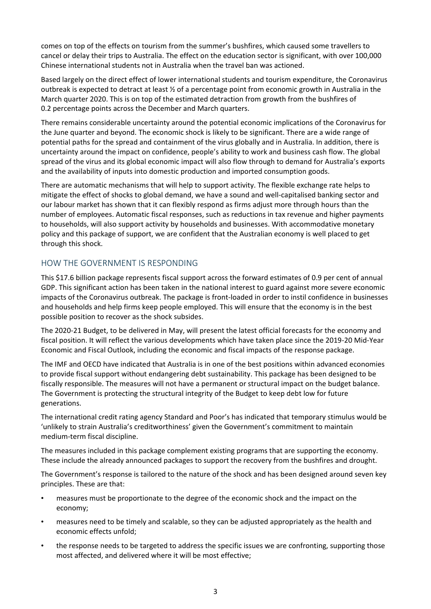comes on top of the effects on tourism from the summer's bushfires, which caused some travellers to cancel or delay their trips to Australia. The effect on the education sector is significant, with over 100,000 Chinese international students not in Australia when the travel ban was actioned.

Based largely on the direct effect of lower international students and tourism expenditure, the Coronavirus outbreak is expected to detract at least  $\frac{1}{2}$  of a percentage point from economic growth in Australia in the March quarter 2020. This is on top of the estimated detraction from growth from the bushfires of 0.2 percentage points across the December and March quarters.

There remains considerable uncertainty around the potential economic implications of the Coronavirus for the June quarter and beyond. The economic shock is likely to be significant. There are a wide range of potential paths for the spread and containment of the virus globally and in Australia. In addition, there is uncertainty around the impact on confidence, people's ability to work and business cash flow. The global spread of the virus and its global economic impact will also flow through to demand for Australia's exports and the availability of inputs into domestic production and imported consumption goods.

There are automatic mechanisms that will help to support activity. The flexible exchange rate helps to mitigate the effect of shocks to global demand, we have a sound and well-capitalised banking sector and our labour market has shown that it can flexibly respond as firms adjust more through hours than the number of employees. Automatic fiscal responses, such as reductions in tax revenue and higher payments to households, will also support activity by households and businesses. With accommodative monetary policy and this package of support, we are confident that the Australian economy is well placed to get through this shock.

## HOW THE GOVERNMENT IS RESPONDING

This \$17.6 billion package represents fiscal support across the forward estimates of 0.9 per cent of annual GDP. This significant action has been taken in the national interest to guard against more severe economic impacts of the Coronavirus outbreak. The package is front-loaded in order to instil confidence in businesses and households and help firms keep people employed. This will ensure that the economy is in the best possible position to recover as the shock subsides.

The 2020-21 Budget, to be delivered in May, will present the latest official forecasts for the economy and fiscal position. It will reflect the various developments which have taken place since the 2019-20 Mid-Year Economic and Fiscal Outlook, including the economic and fiscal impacts of the response package.

The IMF and OECD have indicated that Australia is in one of the best positions within advanced economies to provide fiscal support without endangering debt sustainability. This package has been designed to be fiscally responsible. The measures will not have a permanent or structural impact on the budget balance. The Government is protecting the structural integrity of the Budget to keep debt low for future generations.

The international credit rating agency Standard and Poor's has indicated that temporary stimulus would be 'unlikely to strain Australia's creditworthiness' given the Government's commitment to maintain medium-term fiscal discipline.

The measures included in this package complement existing programs that are supporting the economy. These include the already announced packages to support the recovery from the bushfires and drought.

The Government's response is tailored to the nature of the shock and has been designed around seven key principles. These are that:

- measures must be proportionate to the degree of the economic shock and the impact on the economy;
- measures need to be timely and scalable, so they can be adjusted appropriately as the health and economic effects unfold;
- the response needs to be targeted to address the specific issues we are confronting, supporting those most affected, and delivered where it will be most effective;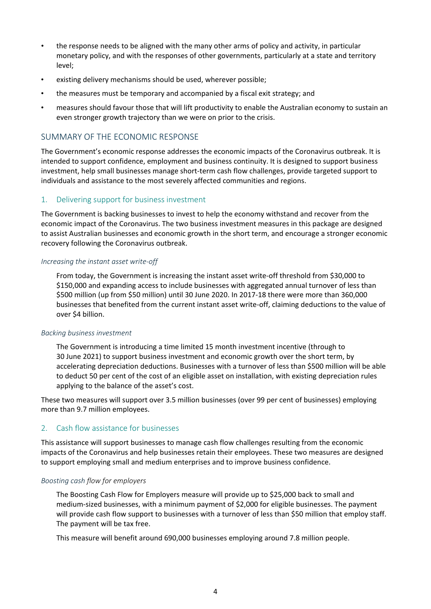- the response needs to be aligned with the many other arms of policy and activity, in particular monetary policy, and with the responses of other governments, particularly at a state and territory level;
- existing delivery mechanisms should be used, wherever possible;
- the measures must be temporary and accompanied by a fiscal exit strategy; and
- measures should favour those that will lift productivity to enable the Australian economy to sustain an even stronger growth trajectory than we were on prior to the crisis.

## SUMMARY OF THE ECONOMIC RESPONSE

The Government's economic response addresses the economic impacts of the Coronavirus outbreak. It is intended to support confidence, employment and business continuity. It is designed to support business investment, help small businesses manage short-term cash flow challenges, provide targeted support to individuals and assistance to the most severely affected communities and regions.

## 1. Delivering support for business investment

The Government is backing businesses to invest to help the economy withstand and recover from the economic impact of the Coronavirus. The two business investment measures in this package are designed to assist Australian businesses and economic growth in the short term, and encourage a stronger economic recovery following the Coronavirus outbreak.

#### *Increasing the instant asset write-off*

From today, the Government is increasing the instant asset write-off threshold from \$30,000 to \$150,000 and expanding access to include businesses with aggregated annual turnover of less than \$500 million (up from \$50 million) until 30 June 2020. In 2017-18 there were more than 360,000 businesses that benefited from the current instant asset write-off, claiming deductions to the value of over \$4 billion.

#### *Backing business investment*

The Government is introducing a time limited 15 month investment incentive (through to 30 June 2021) to support business investment and economic growth over the short term, by accelerating depreciation deductions. Businesses with a turnover of less than \$500 million will be able to deduct 50 per cent of the cost of an eligible asset on installation, with existing depreciation rules applying to the balance of the asset's cost.

These two measures will support over 3.5 million businesses (over 99 per cent of businesses) employing more than 9.7 million employees.

## 2. Cash flow assistance for businesses

This assistance will support businesses to manage cash flow challenges resulting from the economic impacts of the Coronavirus and help businesses retain their employees. These two measures are designed to support employing small and medium enterprises and to improve business confidence.

#### *Boosting cash flow for employers*

The Boosting Cash Flow for Employers measure will provide up to \$25,000 back to small and medium-sized businesses, with a minimum payment of \$2,000 for eligible businesses. The payment will provide cash flow support to businesses with a turnover of less than \$50 million that employ staff. The payment will be tax free.

This measure will benefit around 690,000 businesses employing around 7.8 million people.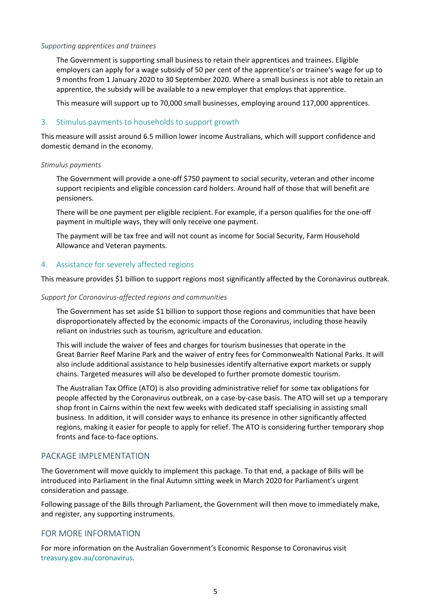#### *Supporting apprentices and trainees*

The Government is supporting small business to retain their apprentices and trainees. Eligible employers can apply for a wage subsidy of 50 per cent of the apprentice's or trainee's wage for up to 9 months from 1 January 2020 to 30 September 2020. Where a small business is not able to retain an apprentice, the subsidy will be available to a new employer that employs that apprentice.

This measure will support up to 70,000 small businesses, employing around 117,000 apprentices.

#### 3. Stimulus payments to households to support growth

This measure will assist around 6.5 million lower income Australians, which will support confidence and domestic demand in the economy.

#### *Stimulus payments*

The Government will provide a one-off \$750 payment to social security, veteran and other income support recipients and eligible concession card holders. Around half of those that will benefit are pensioners.

There will be one payment per eligible recipient. For example, if a person qualifies for the one-off payment in multiple ways, they will only receive one payment.

The payment will be tax free and will not count as income for Social Security, Farm Household Allowance and Veteran payments.

#### 4. Assistance for severely affected regions

This measure provides \$1 billion to support regions most significantly affected by the Coronavirus outbreak.

#### *Support for Coronavirus-affected regions and communities*

The Government has set aside \$1 billion to support those regions and communities that have been disproportionately affected by the economic impacts of the Coronavirus, including those heavily reliant on industries such as tourism, agriculture and education.

This will include the waiver of fees and charges for tourism businesses that operate in the Great Barrier Reef Marine Park and the waiver of entry fees for Commonwealth National Parks. It will also include additional assistance to help businesses identify alternative export markets or supply chains. Targeted measures will also be developed to further promote domestic tourism.

The Australian Tax Office (ATO) is also providing administrative relief for some tax obligations for people affected by the Coronavirus outbreak, on a case-by-case basis. The ATO will set up a temporary shop front in Cairns within the next few weeks with dedicated staff specialising in assisting small business. In addition, it will consider ways to enhance its presence in other significantly affected regions, making it easier for people to apply for relief. The ATO is considering further temporary shop fronts and face-to-face options.

## PACKAGE IMPLEMENTATION

The Government will move quickly to implement this package. To that end, a package of Bills will be introduced into Parliament in the final Autumn sitting week in March 2020 for Parliament's urgent consideration and passage.

Following passage of the Bills through Parliament, the Government will then move to immediately make, and register, any supporting instruments.

## FOR MORE INFORMATION

For more information on the Australian Government's Economic Response to Coronavirus visit treasury.gov.au/coronavirus.